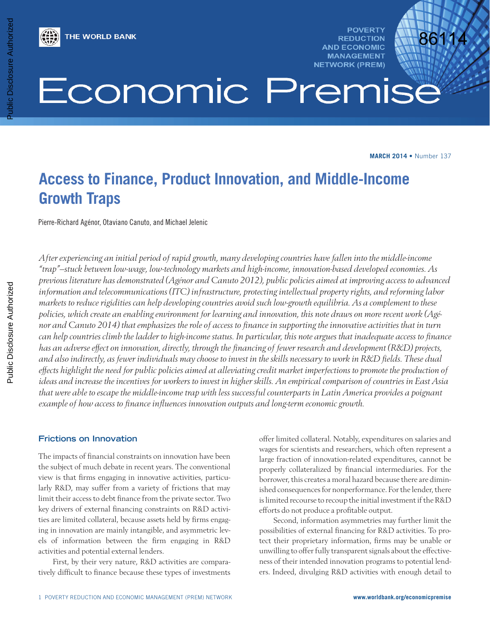

Public Disclosure Authorized

ublic Disclosure Authorized

**POVERTY REDUCTION AND ECONOMIC MANAGEMENT NETWORK (PREM)** 



# Economic Premise

**MARCH 2014 •** Number 137

# **Access to Finance, Product Innovation, and Middle-Income Growth Traps**

Pierre-Richard Agénor, Otaviano Canuto, and Michael Jelenic

*After experiencing an initial period of rapid growth, many developing countries have fallen into the middle-income "trap"—stuck between low-wage, low-technology markets and high-income, innovation-based developed economies. As previous literature has demonstrated (Agénor and Canuto 2012), public policies aimed at improving access to advanced*  Public Disclosure Authorized Public Disclosure Authorized *information and telecommunications (ITC) infrastructure, protecting intellectual property rights, and reforming labor markets to reduce rigidities can help developing countries avoid such low-growth equilibria. As a complement to these policies, which create an enabling environment for learning and innovation, this note draws on more recent work (Agénor and Canuto 2014) that emphasizes the role of access to finance in supporting the innovative activities that in turn can help countries climb the ladder to high-income status. In particular, this note argues that inadequate access to finance has an adverse effect on innovation, directly, through the financing of fewer research and development (R&D) projects, and also indirectly, as fewer individuals may choose to invest in the skills necessary to work in R&D fields. These dual effects highlight the need for public policies aimed at alleviating credit market imperfections to promote the production of ideas and increase the incentives for workers to invest in higher skills. An empirical comparison of countries in East Asia that were able to escape the middle-income trap with less successful counterparts in Latin America provides a poignant example of how access to finance influences innovation outputs and long-term economic growth.* 

#### **Frictions on Innovation**

The impacts of financial constraints on innovation have been the subject of much debate in recent years. The conventional view is that firms engaging in innovative activities, particularly R&D, may suffer from a variety of frictions that may limit their access to debt finance from the private sector. Two key drivers of external financing constraints on R&D activities are limited collateral, because assets held by firms engaging in innovation are mainly intangible, and asymmetric levels of information between the firm engaging in R&D activities and potential external lenders.

First, by their very nature, R&D activities are comparatively difficult to finance because these types of investments offer limited collateral. Notably, expenditures on salaries and wages for scientists and researchers, which often represent a large fraction of innovation-related expenditures, cannot be properly collateralized by financial intermediaries. For the borrower, this creates a moral hazard because there are diminished consequences for nonperformance. For the lender, there is limited recourse to recoup the initial investment if the R&D efforts do not produce a profitable output.

Second, information asymmetries may further limit the possibilities of external financing for R&D activities. To protect their proprietary information, firms may be unable or unwilling to offer fully transparent signals about the effectiveness of their intended innovation programs to potential lenders. Indeed, divulging R&D activities with enough detail to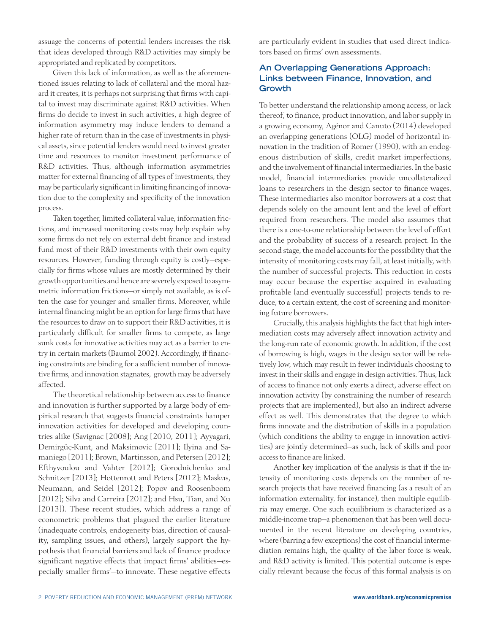assuage the concerns of potential lenders increases the risk that ideas developed through R&D activities may simply be appropriated and replicated by competitors.

Given this lack of information, as well as the aforementioned issues relating to lack of collateral and the moral hazard it creates, it is perhaps not surprising that firms with capital to invest may discriminate against R&D activities. When firms do decide to invest in such activities, a high degree of information asymmetry may induce lenders to demand a higher rate of return than in the case of investments in physical assets, since potential lenders would need to invest greater time and resources to monitor investment performance of R&D activities. Thus, although information asymmetries matter for external financing of all types of investments, they may be particularly significant in limiting financing of innovation due to the complexity and specificity of the innovation process.

Taken together, limited collateral value, information frictions, and increased monitoring costs may help explain why some firms do not rely on external debt finance and instead fund most of their R&D investments with their own equity resources. However, funding through equity is costly—especially for firms whose values are mostly determined by their growth opportunities and hence are severely exposed to asymmetric information frictions—or simply not available, as is often the case for younger and smaller firms. Moreover, while internal financing might be an option for large firms that have the resources to draw on to support their R&D activities, it is particularly difficult for smaller firms to compete, as large sunk costs for innovative activities may act as a barrier to entry in certain markets (Baumol 2002). Accordingly, if financing constraints are binding for a sufficient number of innovative firms, and innovation stagnates, growth may be adversely affected.

The theoretical relationship between access to finance and innovation is further supported by a large body of empirical research that suggests financial constraints hamper innovation activities for developed and developing countries alike (Savignac [2008]; Ang [2010, 2011]; Ayyagari, Demirgüç-Kunt, and Maksimovic [2011]; Ilyina and Samaniego [2011]; Brown, Martinsson, and Petersen [2012]; Efthyvoulou and Vahter [2012]; Gorodnichenko and Schnitzer [2013]; Hottenrott and Peters [2012]; Maskus, Neumann, and Seidel [2012]; Popov and Roosenboom [2012]; Silva and Carreira [2012]; and Hsu, Tian, and Xu [2013]). These recent studies, which address a range of econometric problems that plagued the earlier literature (inadequate controls, endogeneity bias, direction of causality, sampling issues, and others), largely support the hypothesis that financial barriers and lack of finance produce significant negative effects that impact firms' abilities—especially smaller firms'—to innovate. These negative effects are particularly evident in studies that used direct indicators based on firms' own assessments.

# **An Overlapping Generations Approach: Links between Finance, Innovation, and Growth**

To better understand the relationship among access, or lack thereof, to finance, product innovation, and labor supply in a growing economy, Agénor and Canuto (2014) developed an overlapping generations (OLG) model of horizontal innovation in the tradition of Romer (1990), with an endogenous distribution of skills, credit market imperfections, and the involvement of financial intermediaries. In the basic model, financial intermediaries provide uncollateralized loans to researchers in the design sector to finance wages. These intermediaries also monitor borrowers at a cost that depends solely on the amount lent and the level of effort required from researchers. The model also assumes that there is a one-to-one relationship between the level of effort and the probability of success of a research project. In the second stage, the model accounts for the possibility that the intensity of monitoring costs may fall, at least initially, with the number of successful projects. This reduction in costs may occur because the expertise acquired in evaluating profitable (and eventually successful) projects tends to reduce, to a certain extent, the cost of screening and monitoring future borrowers.

Crucially, this analysis highlights the fact that high intermediation costs may adversely affect innovation activity and the long-run rate of economic growth. In addition, if the cost of borrowing is high, wages in the design sector will be relatively low, which may result in fewer individuals choosing to invest in their skills and engage in design activities. Thus, lack of access to finance not only exerts a direct, adverse effect on innovation activity (by constraining the number of research projects that are implemented), but also an indirect adverse effect as well. This demonstrates that the degree to which firms innovate and the distribution of skills in a population (which conditions the ability to engage in innovation activities) are jointly determined—as such, lack of skills and poor access to finance are linked.

Another key implication of the analysis is that if the intensity of monitoring costs depends on the number of research projects that have received financing (as a result of an information externality, for instance), then multiple equilibria may emerge. One such equilibrium is characterized as a middle-income trap—a phenomenon that has been well documented in the recent literature on developing countries, where (barring a few exceptions) the cost of financial intermediation remains high, the quality of the labor force is weak, and R&D activity is limited. This potential outcome is especially relevant because the focus of this formal analysis is on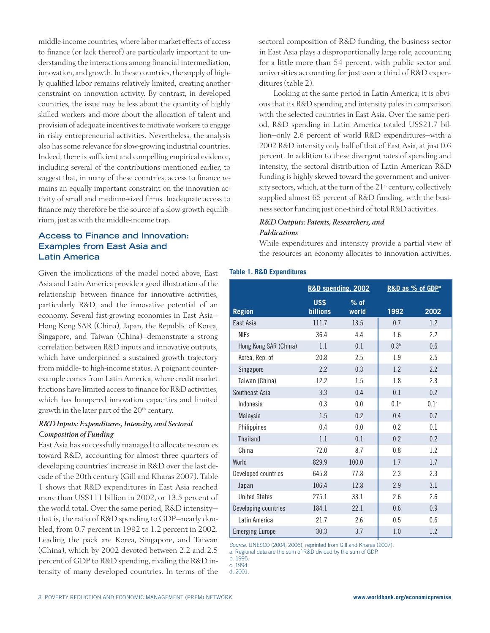middle-income countries, where labor market effects of access to finance (or lack thereof) are particularly important to understanding the interactions among financial intermediation, innovation, and growth. In these countries, the supply of highly qualified labor remains relatively limited, creating another constraint on innovation activity. By contrast, in developed countries, the issue may be less about the quantity of highly skilled workers and more about the allocation of talent and provision of adequate incentives to motivate workers to engage in risky entrepreneurial activities. Nevertheless, the analysis also has some relevance for slow-growing industrial countries. Indeed, there is sufficient and compelling empirical evidence, including several of the contributions mentioned earlier, to suggest that, in many of these countries, access to finance remains an equally important constraint on the innovation activity of small and medium-sized firms. Inadequate access to finance may therefore be the source of a slow-growth equilibrium, just as with the middle-income trap.

# **Access to Finance and Innovation: Examples from East Asia and Latin America**

Given the implications of the model noted above, East Asia and Latin America provide a good illustration of the relationship between finance for innovative activities, particularly R&D, and the innovative potential of an economy. Several fast-growing economies in East Asia— Hong Kong SAR (China), Japan, the Republic of Korea, Singapore, and Taiwan (China)—demonstrate a strong correlation between R&D inputs and innovative outputs, which have underpinned a sustained growth trajectory from middle- to high-income status. A poignant counterexample comes from Latin America, where credit market frictions have limited access to finance for R&D activities, which has hampered innovation capacities and limited growth in the later part of the 20<sup>th</sup> century.

#### R&D Inputs: Expenditures, Intensity, and Sectoral Composition of Funding

East Asia has successfully managed to allocate resources toward R&D, accounting for almost three quarters of developing countries' increase in R&D over the last decade of the 20th century (Gill and Kharas 2007). Table 1 shows that R&D expenditures in East Asia reached more than US\$111 billion in 2002, or 13.5 percent of the world total. Over the same period, R&D intensity that is, the ratio of R&D spending to GDP—nearly doubled, from 0.7 percent in 1992 to 1.2 percent in 2002. Leading the pack are Korea, Singapore, and Taiwan (China), which by 2002 devoted between 2.2 and 2.5 percent of GDP to R&D spending, rivaling the R&D intensity of many developed countries. In terms of the

3 POVERTY REDUCTION AND ECONOMIC MANAGEMENT (PREM) NETWORK **www.worldbank.org/economicpremise**

sectoral composition of R&D funding, the business sector in East Asia plays a disproportionally large role, accounting for a little more than 54 percent, with public sector and universities accounting for just over a third of R&D expenditures (table 2).

Looking at the same period in Latin America, it is obvious that its R&D spending and intensity pales in comparison with the selected countries in East Asia. Over the same period, R&D spending in Latin America totaled US\$21.7 billion—only 2.6 percent of world R&D expenditures—with a 2002 R&D intensity only half of that of East Asia, at just 0.6 percent. In addition to these divergent rates of spending and intensity, the sectoral distribution of Latin American R&D funding is highly skewed toward the government and university sectors, which, at the turn of the  $21<sup>st</sup>$  century, collectively supplied almost 65 percent of R&D funding, with the business sector funding just one-third of total R&D activities.

# R&D Outputs: Patents, Researchers, and Publications

While expenditures and intensity provide a partial view of the resources an economy allocates to innovation activities,

#### **Table 1. R&D Expenditures**

|                        | R&D spending, 2002             |                 | R&D as % of GDP <sup>a</sup> |                  |  |
|------------------------|--------------------------------|-----------------|------------------------------|------------------|--|
| <b>Region</b>          | <b>US\$</b><br><b>billions</b> | $%$ of<br>world | 1992                         | 2002             |  |
| East Asia              | 111.7                          | 13.5            | 0.7                          | 1.2              |  |
| <b>NIEs</b>            | 36.4                           | 4.4             | 1.6                          | 2.2              |  |
| Hong Kong SAR (China)  | 1.1                            | 0.1             | 0.3 <sup>b</sup>             | 0.6              |  |
| Korea, Rep. of         | 20.8                           | 2.5             | 1.9                          | 2.5              |  |
| Singapore              | 2.2                            | 0.3             | 1.2                          | 2.2              |  |
| Taiwan (China)         | 12.2                           | 1.5             | 1.8                          | 2.3              |  |
| Southeast Asia         | 3.3                            | 0.4             | 0.1                          | 0.2              |  |
| Indonesia              | 0.3                            | 0.0             | 0.1 <sup>c</sup>             | 0.1 <sup>d</sup> |  |
| Malaysia               | 1.5                            | 0.2             | 0.4                          | 0.7              |  |
| Philippines            | 0.4                            | 0.0             | 0.2                          | 0.1              |  |
| <b>Thailand</b>        | 1.1                            | 0.1             | 0.2                          | 0.2              |  |
| China                  | 72.0                           | 8.7             | 0.8                          | 1.2              |  |
| World                  | 829.9                          | 100.0           | 1.7                          | 1.7              |  |
| Developed countries    | 645.8                          | 77.8            | 2.3                          | 2.3              |  |
| Japan                  | 106.4                          | 12.8            | 2.9                          | 3.1              |  |
| <b>United States</b>   | 275.1                          | 33.1            | 2.6                          | 2.6              |  |
| Developing countries   | 184.1                          | 22.1            | 0.6                          | 0.9              |  |
| Latin America          | 21.7                           | 2.6             | 0.5                          | 0.6              |  |
| <b>Emerging Europe</b> | 30.3                           | 3.7             | 1.0                          | 1.2              |  |

*Source:* UNESCO (2004, 2006); reprinted from Gill and Kharas (2007).

a. Regional data are the sum of R&D divided by the sum of GDP.

b. 1995.

c. 1994. d. 2001.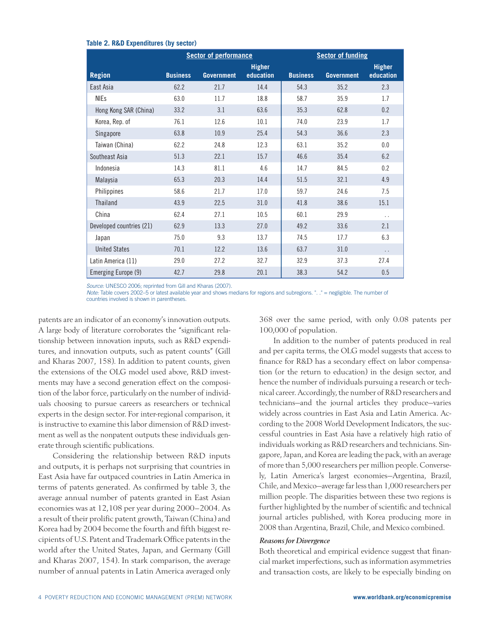#### **Table 2. R&D Expenditures (by sector)**

|                          | <b>Sector of performance</b> |                   |           | <b>Sector of funding</b> |                   |                      |
|--------------------------|------------------------------|-------------------|-----------|--------------------------|-------------------|----------------------|
|                          | <b>Higher</b>                |                   |           |                          | <b>Higher</b>     |                      |
| <b>Region</b>            | <b>Business</b>              | <b>Government</b> | education | <b>Business</b>          | <b>Government</b> | education            |
| East Asia                | 62.2                         | 21.7              | 14.4      | 54.3                     | 35.2              | 2.3                  |
| <b>NIEs</b>              | 63.0                         | 11.7              | 18.8      | 58.7                     | 35.9              | 1.7                  |
| Hong Kong SAR (China)    | 33.2                         | 3.1               | 63.6      | 35.3                     | 62.8              | 0.2                  |
| Korea, Rep. of           | 76.1                         | 12.6              | 10.1      | 74.0                     | 23.9              | 1.7                  |
| Singapore                | 63.8                         | 10.9              | 25.4      | 54.3                     | 36.6              | 2.3                  |
| Taiwan (China)           | 62.2                         | 24.8              | 12.3      | 63.1                     | 35.2              | 0.0                  |
| Southeast Asia           | 51.3                         | 22.1              | 15.7      | 46.6                     | 35.4              | 6.2                  |
| Indonesia                | 14.3                         | 81.1              | 4.6       | 14.7                     | 84.5              | 0.2                  |
| Malaysia                 | 65.3                         | 20.3              | 14.4      | 51.5                     | 32.1              | 4.9                  |
| Philippines              | 58.6                         | 21.7              | 17.0      | 59.7                     | 24.6              | 7.5                  |
| <b>Thailand</b>          | 43.9                         | 22.5              | 31.0      | 41.8                     | 38.6              | 15.1                 |
| China                    | 62.4                         | 27.1              | 10.5      | 60.1                     | 29.9              | $\ddot{\phantom{0}}$ |
| Developed countries (21) | 62.9                         | 13.3              | 27.0      | 49.2                     | 33.6              | 2.1                  |
| Japan                    | 75.0                         | 9.3               | 13.7      | 74.5                     | 17.7              | 6.3                  |
| <b>United States</b>     | 70.1                         | 12.2              | 13.6      | 63.7                     | 31.0              | $\ddot{\phantom{0}}$ |
| Latin America (11)       | 29.0                         | 27.2              | 32.7      | 32.9                     | 37.3              | 27.4                 |
| Emerging Europe (9)      | 42.7                         | 29.8              | 20.1      | 38.3                     | 54.2              | 0.5                  |

*Source:* UNESCO 2006; reprinted from Gill and Kharas (2007).

*Note:* Table covers 2002–5 or latest available year and shows medians for regions and subregions. ". ." = negligible. The number of countries involved is shown in parentheses.

patents are an indicator of an economy's innovation outputs. A large body of literature corroborates the "significant relationship between innovation inputs, such as R&D expenditures, and innovation outputs, such as patent counts" (Gill and Kharas 2007, 158). In addition to patent counts, given the extensions of the OLG model used above, R&D investments may have a second generation effect on the composition of the labor force, particularly on the number of individuals choosing to pursue careers as researchers or technical experts in the design sector. For inter-regional comparison, it is instructive to examine this labor dimension of R&D investment as well as the nonpatent outputs these individuals generate through scientific publications.

Considering the relationship between R&D inputs and outputs, it is perhaps not surprising that countries in East Asia have far outpaced countries in Latin America in terms of patents generated. As confirmed by table 3, the average annual number of patents granted in East Asian economies was at 12,108 per year during 2000–2004. As a result of their prolific patent growth, Taiwan (China) and Korea had by 2004 become the fourth and fifth biggest recipients of U.S. Patent and Trademark Office patents in the world after the United States, Japan, and Germany (Gill and Kharas 2007, 154). In stark comparison, the average number of annual patents in Latin America averaged only 368 over the same period, with only 0.08 patents per 100,000 of population.

In addition to the number of patents produced in real and per capita terms, the OLG model suggests that access to finance for R&D has a secondary effect on labor compensation (or the return to education) in the design sector, and hence the number of individuals pursuing a research or technical career. Accordingly, the number of R&D researchers and technicians—and the journal articles they produce—varies widely across countries in East Asia and Latin America. According to the 2008 World Development Indicators, the successful countries in East Asia have a relatively high ratio of individuals working as R&D researchers and technicians. Singapore, Japan, and Korea are leading the pack, with an average of more than 5,000 researchers per million people. Conversely, Latin America's largest economies—Argentina, Brazil, Chile, and Mexico—average far less than 1,000 researchers per million people. The disparities between these two regions is further highlighted by the number of scientific and technical journal articles published, with Korea producing more in 2008 than Argentina, Brazil, Chile, and Mexico combined.

# Reasons for Divergence

Both theoretical and empirical evidence suggest that financial market imperfections, such as information asymmetries and transaction costs, are likely to be especially binding on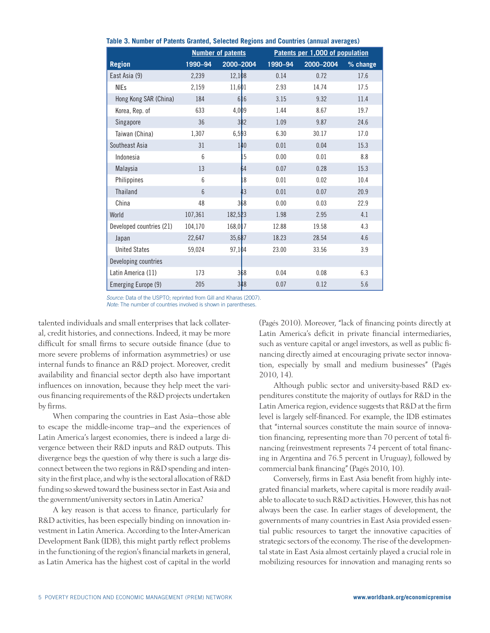|                            |         | <b>Number of patents</b> | Patents per 1,000 of population |           |            |  |
|----------------------------|---------|--------------------------|---------------------------------|-----------|------------|--|
| <b>Region</b>              | 1990-94 | 2000-2004                | 1990-94                         | 2000-2004 | $%$ change |  |
| East Asia (9)              | 2,239   | 12,108                   | 0.14                            | 0.72      | 17.6       |  |
| <b>NIEs</b>                | 2,159   | 11,601                   | 2.93                            | 14.74     | 17.5       |  |
| Hong Kong SAR (China)      | 184     | 616                      | 3.15                            | 9.32      | 11.4       |  |
| Korea, Rep. of             | 633     | 4,009                    | 1.44                            | 8.67      | 19.7       |  |
| Singapore                  | 36      | 382                      | 1.09                            | 9.87      | 24.6       |  |
| Taiwan (China)             | 1,307   | 6,593                    | 6.30                            | 30.17     | 17.0       |  |
| Southeast Asia             | 31      | 140                      | 0.01                            | 0.04      | 15.3       |  |
| Indonesia                  | 6       | 5                        | 0.00                            | 0.01      | 8.8        |  |
| Malaysia                   | 13      | 64                       | 0.07                            | 0.28      | 15.3       |  |
| Philippines                | 6       | 8                        | 0.01                            | 0.02      | 10.4       |  |
| Thailand                   | 6       | 3                        | 0.01                            | 0.07      | 20.9       |  |
| China                      | 48      | 368                      | 0.00                            | 0.03      | 22.9       |  |
| World                      | 107,361 | 182,523                  | 1.98                            | 2.95      | 4.1        |  |
| Developed countries (21)   | 104,170 | 168,017                  | 12.88                           | 19.58     | 4.3        |  |
| Japan                      | 22,647  | 35,687                   | 18.23                           | 28.54     | 4.6        |  |
| <b>United States</b>       | 59,024  | 97,104                   | 23.00                           | 33.56     | 3.9        |  |
| Developing countries       |         |                          |                                 |           |            |  |
| Latin America (11)         | 173     | 368                      | 0.04                            | 0.08      | 6.3        |  |
| <b>Emerging Europe (9)</b> | 205     | 348                      | 0.07                            | 0.12      | 5.6        |  |

**Table 3. Number of Patents Granted, Selected Regions and Countries (annual averages)**

*Source:* Data of the USPTO; reprinted from Gill and Kharas (2007). *Note:* The number of countries involved is shown in parentheses.

talented individuals and small enterprises that lack collateral, credit histories, and connections. Indeed, it may be more difficult for small firms to secure outside finance (due to more severe problems of information asymmetries) or use internal funds to finance an R&D project. Moreover, credit availability and financial sector depth also have important influences on innovation, because they help meet the various financing requirements of the R&D projects undertaken by firms.

When comparing the countries in East Asia—those able to escape the middle-income trap—and the experiences of Latin America's largest economies, there is indeed a large divergence between their R&D inputs and R&D outputs. This divergence begs the question of why there is such a large disconnect between the two regions in R&D spending and intensity in the first place, and why is the sectoral allocation of R&D funding so skewed toward the business sector in East Asia and the government/university sectors in Latin America?

A key reason is that access to finance, particularly for R&D activities, has been especially binding on innovation investment in Latin America. According to the Inter-American Development Bank (IDB), this might partly reflect problems in the functioning of the region's financial markets in general, as Latin America has the highest cost of capital in the world

(Pagés 2010). Moreover, "lack of financing points directly at Latin America's deficit in private financial intermediaries, such as venture capital or angel investors, as well as public financing directly aimed at encouraging private sector innovation, especially by small and medium businesses" (Pagés 2010, 14).

Although public sector and university-based R&D expenditures constitute the majority of outlays for R&D in the Latin America region, evidence suggests that R&D at the firm level is largely self-financed. For example, the IDB estimates that "internal sources constitute the main source of innovation financing, representing more than 70 percent of total financing (reinvestment represents 74 percent of total financing in Argentina and 76.5 percent in Uruguay), followed by commercial bank financing" (Pagés 2010, 10).

Conversely, firms in East Asia benefit from highly integrated financial markets, where capital is more readily available to allocate to such R&D activities. However, this has not always been the case. In earlier stages of development, the governments of many countries in East Asia provided essential public resources to target the innovative capacities of strategic sectors of the economy. The rise of the developmental state in East Asia almost certainly played a crucial role in mobilizing resources for innovation and managing rents so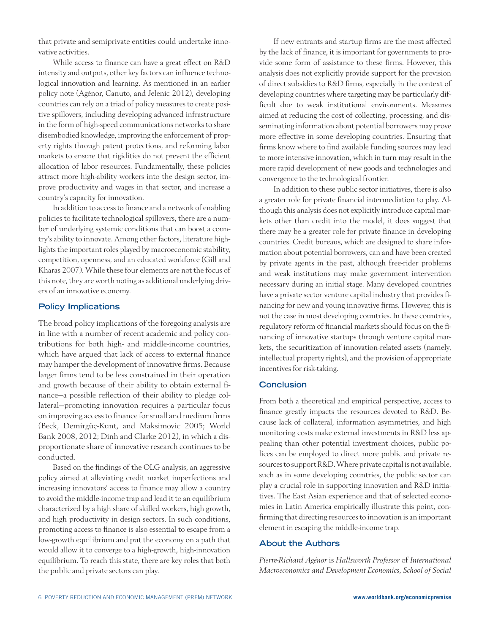that private and semiprivate entities could undertake innovative activities.

While access to finance can have a great effect on R&D intensity and outputs, other key factors can influence technological innovation and learning. As mentioned in an earlier policy note (Agénor, Canuto, and Jelenic 2012), developing countries can rely on a triad of policy measures to create positive spillovers, including developing advanced infrastructure in the form of high-speed communications networks to share disembodied knowledge, improving the enforcement of property rights through patent protections, and reforming labor markets to ensure that rigidities do not prevent the efficient allocation of labor resources. Fundamentally, these policies attract more high-ability workers into the design sector, improve productivity and wages in that sector, and increase a country's capacity for innovation.

In addition to access to finance and a network of enabling policies to facilitate technological spillovers, there are a number of underlying systemic conditions that can boost a country's ability to innovate. Among other factors, literature highlights the important roles played by macroeconomic stability, competition, openness, and an educated workforce (Gill and Kharas 2007). While these four elements are not the focus of this note, they are worth noting as additional underlying drivers of an innovative economy.

#### **Policy Implications**

The broad policy implications of the foregoing analysis are in line with a number of recent academic and policy contributions for both high- and middle-income countries, which have argued that lack of access to external finance may hamper the development of innovative firms. Because larger firms tend to be less constrained in their operation and growth because of their ability to obtain external finance—a possible reflection of their ability to pledge collateral—promoting innovation requires a particular focus on improving access to finance for small and medium firms (Beck, Demirgüç-Kunt, and Maksimovic 2005; World Bank 2008, 2012; Dinh and Clarke 2012), in which a disproportionate share of innovative research continues to be conducted.

Based on the findings of the OLG analysis, an aggressive policy aimed at alleviating credit market imperfections and increasing innovators' access to finance may allow a country to avoid the middle-income trap and lead it to an equilibrium characterized by a high share of skilled workers, high growth, and high productivity in design sectors. In such conditions, promoting access to finance is also essential to escape from a low-growth equilibrium and put the economy on a path that would allow it to converge to a high-growth, high-innovation equilibrium. To reach this state, there are key roles that both the public and private sectors can play.

If new entrants and startup firms are the most affected by the lack of finance, it is important for governments to provide some form of assistance to these firms. However, this analysis does not explicitly provide support for the provision of direct subsidies to R&D firms, especially in the context of developing countries where targeting may be particularly difficult due to weak institutional environments. Measures aimed at reducing the cost of collecting, processing, and disseminating information about potential borrowers may prove more effective in some developing countries. Ensuring that firms know where to find available funding sources may lead to more intensive innovation, which in turn may result in the more rapid development of new goods and technologies and convergence to the technological frontier.

In addition to these public sector initiatives, there is also a greater role for private financial intermediation to play. Although this analysis does not explicitly introduce capital markets other than credit into the model, it does suggest that there may be a greater role for private finance in developing countries. Credit bureaus, which are designed to share information about potential borrowers, can and have been created by private agents in the past, although free-rider problems and weak institutions may make government intervention necessary during an initial stage. Many developed countries have a private sector venture capital industry that provides financing for new and young innovative firms. However, this is not the case in most developing countries. In these countries, regulatory reform of financial markets should focus on the financing of innovative startups through venture capital markets, the securitization of innovation-related assets (namely, intellectual property rights), and the provision of appropriate incentives for risk-taking.

## **Conclusion**

From both a theoretical and empirical perspective, access to finance greatly impacts the resources devoted to R&D. Because lack of collateral, information asymmetries, and high monitoring costs make external investments in R&D less appealing than other potential investment choices, public polices can be employed to direct more public and private resources to support R&D. Where private capital is not available, such as in some developing countries, the public sector can play a crucial role in supporting innovation and R&D initiatives. The East Asian experience and that of selected economies in Latin America empirically illustrate this point, confirming that directing resources to innovation is an important element in escaping the middle-income trap.

#### **About the Authors**

*Pierre-Richard Agénor* is *Hallsworth Professor* of *International Macroeconomics and Development Economics*, *School of Social*